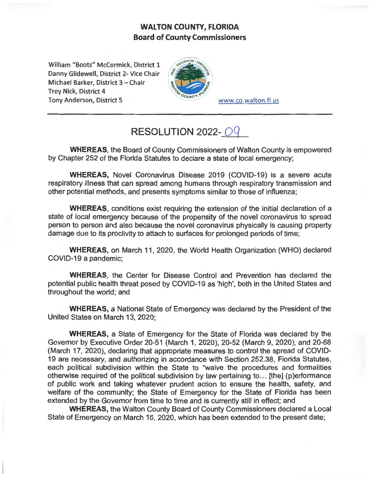## **WALTON COUNTY, FLORIDA Board of County Commissioners**

William "Boots" McCormick, District 1 Danny Glidewell, District 2- Vice Chair Michael Barker, District 3 - Chair Trey Nick, District 4 Tony Anderson, District 5 www.co.walton.fl.us



## **RESOLUTION 2022-09**

**WHEREAS,** the Board of County Commissioners of Walton County is empowered by Chapter 252 of the Florida Statutes to declare a state of local emergency;

**WHEREAS,** Novel Coronavirus Disease 2019 (COVID-19) is a severe acute respiratory illness that can spread among humans through respiratory transmission and other potential methods, and presents symptoms similar to those of influenza;

**WHEREAS,** conditions exist requiring the extension of the initial declaration of a state of local emergency because of the propensity of the novel coronavirus to spread person to person and also because the novel coronavirus physically is causing property damage due to its proclivity to attach to surfaces for prolonged periods of time;

**WHEREAS,** on March 11, 2020, the World Health Organization (WHO) declared COVID-19 a pandemic;

**WHEREAS,** the Center for Disease Control and Prevention has declared the potential public health threat posed by COVID-19 as 'high', both in the United States and throughout the world; and

**WHEREAS,** a National State of Emergency was declared by the President of the United States on March 13, 2020;

**WHEREAS,** a State of Emergency for the State of Florida was declared by the Governor by Executive Order 20-51 (March 1, 2020), 20-52 (March 9, 2020), and 20-68 (March 17, 2020), declaring that appropriate measures to control the spread of COVID-19 are necessary, and authorizing in accordance with Section 252.38, Florida Statutes, each political subdivision within the State to "waive the procedures and formalities otherwise required of the political subdivision by law pertaining to ... [the] (p)erformance of public work and taking whatever prudent action to ensure the health, safety, and welfare of the community; the State of Emergency for the State of Florida has been extended by the Governor from time to time and is currently still in effect; and

**WHEREAS,** the Walton County Board of County Commissioners declared a Local State of Emergency on March 16, 2020, which has been extended to the present date;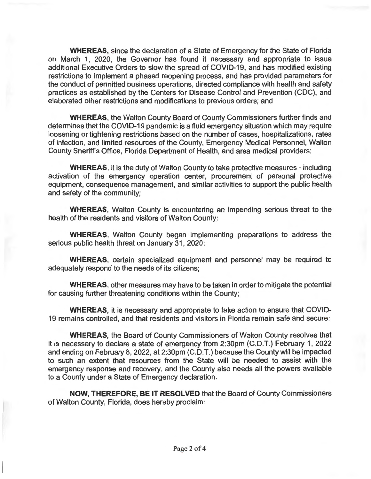**WHEREAS,** since the declaration of a State of Emergency for the State of Florida on March 1, 2020, the Governor has found it necessary and appropriate to issue additional Executive Orders to slow the spread of COVID-19, and has modified existing restrictions to implement a phased reopening process, and has provided parameters for the conduct of permitted business operations, directed compliance with health and safety practices as established by the Centers for Disease Control and Prevention (CDC), and elaborated other restrictions and modifications to previous orders; and

**WHEREAS,** the Walton County Board of County Commissioners further finds and determines that the COVID-19 pandemic is a fluid emergency situation which may require loosening or tightening restrictions based on the number of cases, hospitalizations, rates of infection, and limited resources of the County, Emergency Medical Personnel, Walton County Sheriffs Office, Florida Department of Health, and area medical providers;

**WHEREAS,** it is the duty of Walton County to take protective measures - including activation of the emergency operation center, procurement of personal protective equipment, consequence management, and similar activities to support the public health and safety of the community;

**WHEREAS,** Walton County is encountering an impending serious threat to the health of the residents and visitors of Walton County;

**WHEREAS,** Walton County began implementing preparations to address the serious public health threat on January 31, 2020;

**WHEREAS,** certain specialized equipment and personnel may be required to adequately respond to the needs of its citizens;

**WHEREAS,** other measures may have to be taken in order to mitigate the potential for causing further threatening conditions within the County;

**WHEREAS,** it is necessary and appropriate to take action to ensure that COVID-19 remains controlled, and that residents and visitors in Florida remain safe and secure;

**WHEREAS,** the Board of County Commissioners of Walton County resolves that it is necessary to declare a state of emergency from 2:30pm (C.D.T.) February 1, 2022 and ending on February 8, 2022, at 2:30pm (C.D.T.) because the County will be impacted to such an extent that resources from the State will be needed to assist with the emergency response and recovery, and the County also needs all the powers available to a County under a State of Emergency declaration.

**NOW, THEREFORE, BE IT RESOLVED** that the Board of County Commissioners of Walton County, Florida, does hereby proclaim: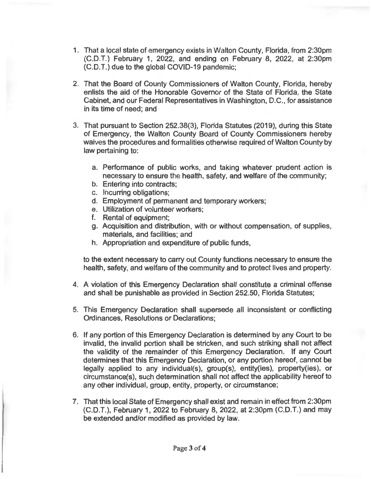- 1. That a local state of emergency exists in Walton County, Florida, from 2:30pm (C.D.T.) February 1, 2022, and ending on February 8, 2022, at 2:30pm (C.D.T.) due to the global COVID-19 pandemic;
- 2. That the Board of County Commissioners of Walton County, Florida, hereby enlists the aid of the Honorable Governor of the State of Florida, the State Cabinet, and our Federal Representatives in Washington, D.C., for assistance in its time of need; and
- 3. That pursuant to Section 252.38(3), Florida Statutes (2019), during this State of Emergency, the Walton County Board of County Commissioners hereby waives the procedures and formalities otherwise required of Walton County by law pertaining to:
	- a. Performance of public works, and taking whatever prudent action is necessary to ensure the health, safety, and welfare of the community;
	- b. Entering into contracts;
	- c. Incurring obligations;
	- d. Employment of permanent and temporary workers;
	- e. Utilization of volunteer workers;
	- f. Rental of equipment;
	- g. Acquisition and distribution, with or without compensation, of supplies, materials, and facilities; and
	- h. Appropriation and expenditure of public funds,

to the extent necessary to carry out County functions necessary to ensure the health, safety, and welfare of the community and to protect lives and property.

- 4. A violation of this Emergency Declaration shall constitute a criminal offense and shall be punishable as provided in Section 252.50, Florida Statutes;
- 5. This Emergency Declaration shall supersede all inconsistent or conflicting Ordinances, Resolutions or Declarations;
- 6. If any portion of this Emergency Declaration is determined by any Court to be invalid, the invalid portion shall be stricken, and such striking shall not affect the validity of the remainder of this Emergency Declaration. If any Court determines that this Emergency Declaration, or any portion hereof, cannot be legally applied to any individual(s), group(s), entity(ies), property(ies), or circumstance(s), such determination shall not affect the applicability hereof to any other individual, group, entity, property, or circumstance;
- 7. That this local State of Emergency shall exist and remain in effect from 2:30pm (C.D.T.), February 1, 2022 to February 8, 2022, at 2:30pm (C.D.T.) and may be extended and/or modified as provided by law.